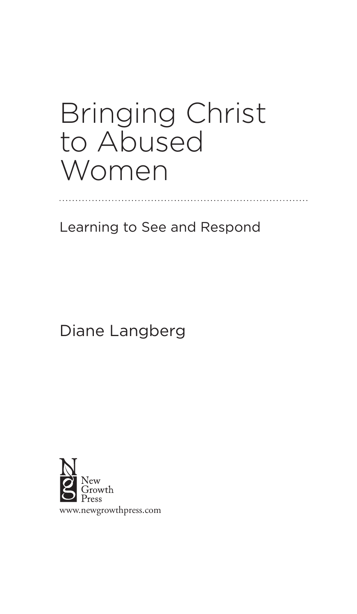## Bringing Christ to Abused Women

Learning to See and Respond

Diane Langberg

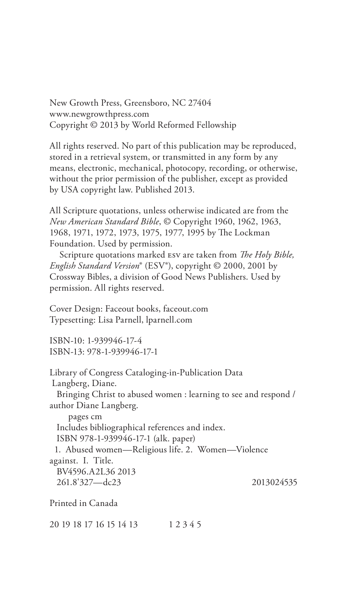New Growth Press, Greensboro, NC 27404 www.newgrowthpress.com Copyright © 2013 by World Reformed Fellowship

All rights reserved. No part of this publication may be reproduced, stored in a retrieval system, or transmitted in any form by any means, electronic, mechanical, photocopy, recording, or otherwise, without the prior permission of the publisher, except as provided by USA copyright law. Published 2013.

All Scripture quotations, unless otherwise indicated are from the *New American Standard Bible*, © Copyright 1960, 1962, 1963, 1968, 1971, 1972, 1973, 1975, 1977, 1995 by The Lockman Foundation. Used by permission.

Scripture quotations marked ESV are taken from *The Holy Bible*, *English Standard Version*® (ESV®), copyright © 2000, 2001 by Crossway Bibles, a division of Good News Publishers. Used by permission. All rights reserved.

Cover Design: Faceout books, faceout.com Typesetting: Lisa Parnell, lparnell.com

ISBN-10: 1-939946-17-4 ISBN-13: 978-1-939946-17-1

Library of Congress Cataloging-in-Publication Data Langberg, Diane. Bringing Christ to abused women : learning to see and respond / author Diane Langberg. pages cm Includes bibliographical references and index. ISBN 978-1-939946-17-1 (alk. paper) 1. Abused women—Religious life. 2. Women—Violence against. I. Title. BV4596.A2L36 2013 261.8'327—dc23 2013024535

Printed in Canada

20 19 18 17 16 15 14 13 1 2 3 4 5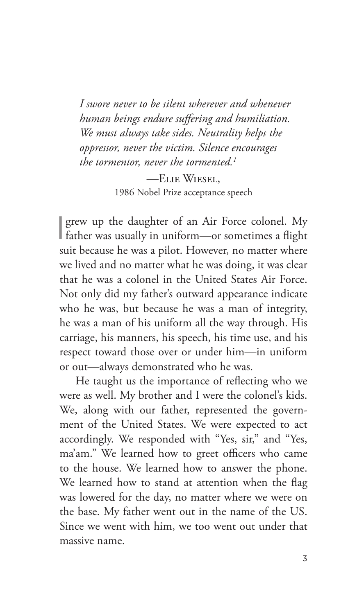*I swore never to be silent wherever and whenever human beings endure su"ering and humiliation. We must always take sides. Neutrality helps the oppressor, never the victim. Silence encourages the tormentor, never the tormented.1*

—Elie Wiesel, 1986 Nobel Prize acceptance speech

I grew up the daughter of an Air Force colonel. My father was usually in uniform—or sometimes a flight suit because he was a pilot. However, no matter where we lived and no matter what he was doing, it was clear that he was a colonel in the United States Air Force. Not only did my father's outward appearance indicate who he was, but because he was a man of integrity, he was a man of his uniform all the way through. His carriage, his manners, his speech, his time use, and his respect toward those over or under him—in uniform or out—always demonstrated who he was.

He taught us the importance of reflecting who we were as well. My brother and I were the colonel's kids. We, along with our father, represented the government of the United States. We were expected to act accordingly. We responded with "Yes, sir," and "Yes, ma'am." We learned how to greet officers who came to the house. We learned how to answer the phone. We learned how to stand at attention when the flag was lowered for the day, no matter where we were on the base. My father went out in the name of the US. Since we went with him, we too went out under that massive name.